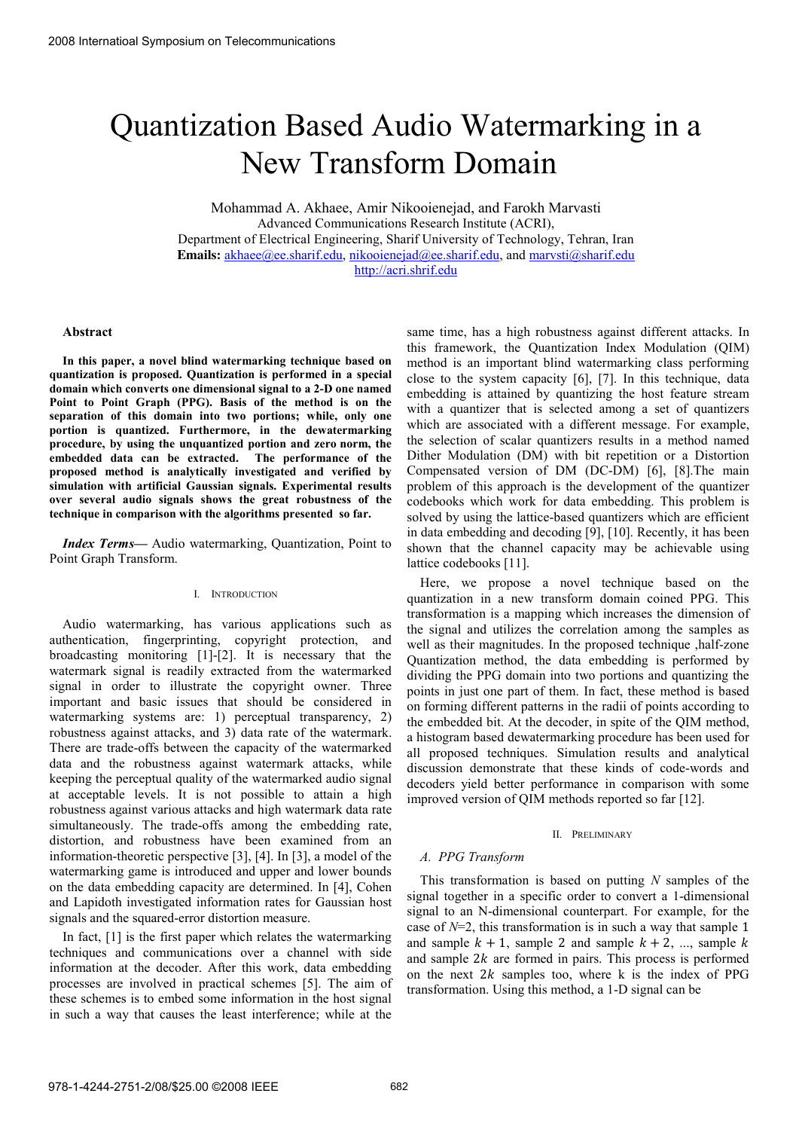# Quantization Based Audio Watermarking in a New Transform Domain

Mohammad A. Akhaee, Amir Nikooienejad, and Farokh Marvasti Advanced Communications Research Institute (ACRI), Department of Electrical Engineering, Sharif University of Technology, Tehran, Iran Emails: akhaee@ee.sharif.edu, nikooienejad@ee.sharif.edu, and marvsti@sharif.edu http://acri.shrif.edu

#### **Abstract**

**In this paper, a novel blind watermarking technique based on quantization is proposed. Quantization is performed in a special domain which converts one dimensional signal to a 2-D one named Point to Point Graph (PPG). Basis of the method is on the separation of this domain into two portions; while, only one portion is quantized. Furthermore, in the dewatermarking procedure, by using the unquantized portion and zero norm, the embedded data can be extracted. The performance of the proposed method is analytically investigated and verified by simulation with artificial Gaussian signals. Experimental results over several audio signals shows the great robustness of the technique in comparison with the algorithms presented so far.**

*Index Terms—* Audio watermarking, Quantization, Point to Point Graph Transform.

# I. INTRODUCTION

Audio watermarking, has various applications such as authentication, fingerprinting, copyright protection, and broadcasting monitoring [1]-[2]. It is necessary that the watermark signal is readily extracted from the watermarked signal in order to illustrate the copyright owner. Three important and basic issues that should be considered in watermarking systems are: 1) perceptual transparency, 2) robustness against attacks, and 3) data rate of the watermark. There are trade-offs between the capacity of the watermarked data and the robustness against watermark attacks, while keeping the perceptual quality of the watermarked audio signal at acceptable levels. It is not possible to attain a high robustness against various attacks and high watermark data rate simultaneously. The trade-offs among the embedding rate, distortion, and robustness have been examined from an information-theoretic perspective [3], [4]. In [3], a model of the watermarking game is introduced and upper and lower bounds on the data embedding capacity are determined. In [4], Cohen and Lapidoth investigated information rates for Gaussian host signals and the squared-error distortion measure.

In fact, [1] is the first paper which relates the watermarking techniques and communications over a channel with side information at the decoder. After this work, data embedding processes are involved in practical schemes [5]. The aim of these schemes is to embed some information in the host signal in such a way that causes the least interference; while at the

same time, has a high robustness against different attacks. In this framework, the Quantization Index Modulation (QIM) method is an important blind watermarking class performing close to the system capacity [6], [7]. In this technique, data embedding is attained by quantizing the host feature stream with a quantizer that is selected among a set of quantizers which are associated with a different message. For example, the selection of scalar quantizers results in a method named Dither Modulation (DM) with bit repetition or a Distortion Compensated version of DM (DC-DM) [6], [8].The main problem of this approach is the development of the quantizer codebooks which work for data embedding. This problem is solved by using the lattice-based quantizers which are efficient in data embedding and decoding [9], [10]. Recently, it has been shown that the channel capacity may be achievable using lattice codebooks [11].

Here, we propose a novel technique based on the quantization in a new transform domain coined PPG. This transformation is a mapping which increases the dimension of the signal and utilizes the correlation among the samples as well as their magnitudes. In the proposed technique ,half-zone Quantization method, the data embedding is performed by dividing the PPG domain into two portions and quantizing the points in just one part of them. In fact, these method is based on forming different patterns in the radii of points according to the embedded bit. At the decoder, in spite of the QIM method, a histogram based dewatermarking procedure has been used for all proposed techniques. Simulation results and analytical discussion demonstrate that these kinds of code-words and decoders yield better performance in comparison with some improved version of QIM methods reported so far [12].

#### II. PRELIMINARY

# *A. PPG Transform*

This transformation is based on putting *N* samples of the signal together in a specific order to convert a 1-dimensional signal to an N-dimensional counterpart. For example, for the case of *N*=2, this transformation is in such a way that sample 1 and sample  $k + 1$ , sample 2 and sample  $k + 2$ , ..., sample k and sample  $2k$  are formed in pairs. This process is performed on the next  $2k$  samples too, where k is the index of PPG transformation. Using this method, a 1-D signal can be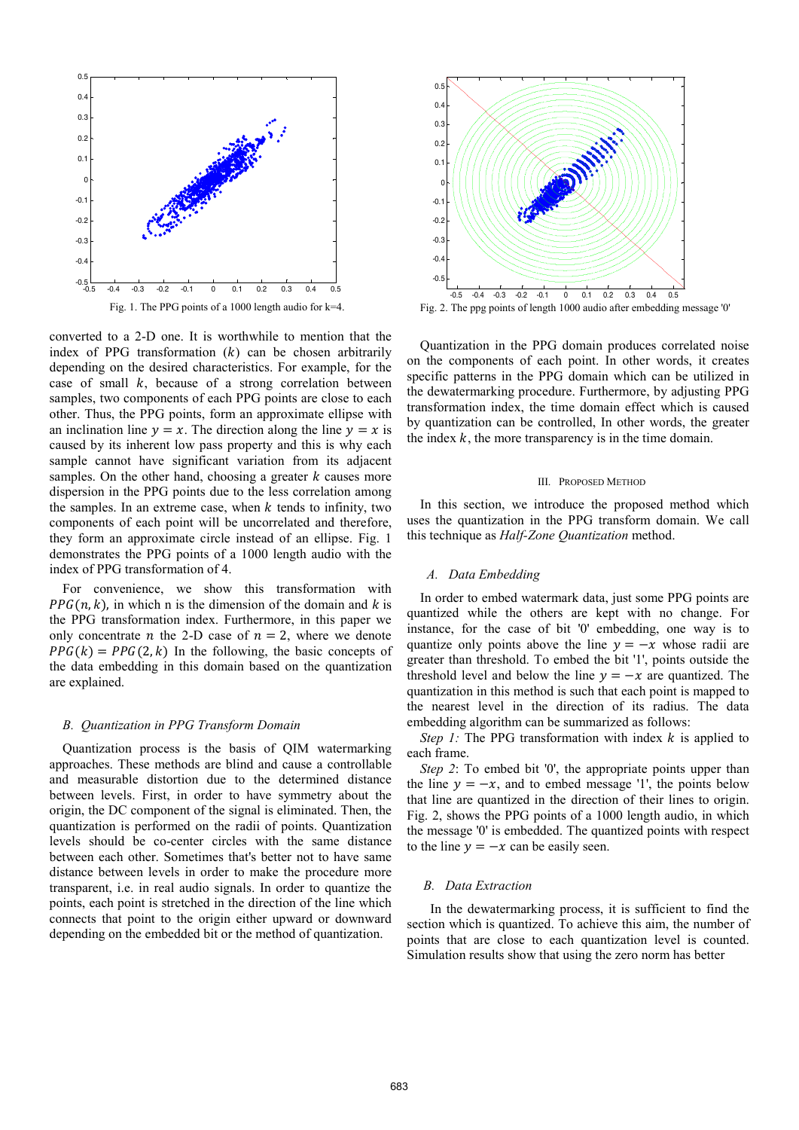

converted to a 2-D one. It is worthwhile to mention that the index of PPG transformation  $(k)$  can be chosen arbitrarily depending on the desired characteristics. For example, for the case of small  $k$ , because of a strong correlation between samples, two components of each PPG points are close to each other. Thus, the PPG points, form an approximate ellipse with an inclination line  $y = x$ . The direction along the line  $y = x$  is caused by its inherent low pass property and this is why each sample cannot have significant variation from its adjacent samples. On the other hand, choosing a greater  $k$  causes more dispersion in the PPG points due to the less correlation among the samples. In an extreme case, when  $k$  tends to infinity, two components of each point will be uncorrelated and therefore, they form an approximate circle instead of an ellipse. Fig. 1 demonstrates the PPG points of a 1000 length audio with the index of PPG transformation of 4.

For convenience, we show this transformation with  $PPG(n, k)$ , in which n is the dimension of the domain and k is the PPG transformation index. Furthermore, in this paper we only concentrate *n* the 2-D case of  $n = 2$ , where we denote  $PPG(k) = PPG(2, k)$  In the following, the basic concepts of the data embedding in this domain based on the quantization are explained.

# *B. Quantization in PPG Transform Domain*

Quantization process is the basis of QIM watermarking approaches. These methods are blind and cause a controllable and measurable distortion due to the determined distance between levels. First, in order to have symmetry about the origin, the DC component of the signal is eliminated. Then, the quantization is performed on the radii of points. Quantization levels should be co-center circles with the same distance between each other. Sometimes that's better not to have same distance between levels in order to make the procedure more transparent, i.e. in real audio signals. In order to quantize the points, each point is stretched in the direction of the line which connects that point to the origin either upward or downward depending on the embedded bit or the method of quantization.



Fig. 2. The ppg points of length 1000 audio after embedding message '0'

Quantization in the PPG domain produces correlated noise on the components of each point. In other words, it creates specific patterns in the PPG domain which can be utilized in the dewatermarking procedure. Furthermore, by adjusting PPG transformation index, the time domain effect which is caused by quantization can be controlled, In other words, the greater the index  $k$ , the more transparency is in the time domain.

#### III. PROPOSED METHOD

In this section, we introduce the proposed method which uses the quantization in the PPG transform domain. We call this technique as *Half-Zone Quantization* method.

#### *A. Data Embedding*

In order to embed watermark data, just some PPG points are quantized while the others are kept with no change. For instance, for the case of bit '0' embedding, one way is to quantize only points above the line  $y = -x$  whose radii are greater than threshold. To embed the bit '1', points outside the threshold level and below the line  $y = -x$  are quantized. The quantization in this method is such that each point is mapped to the nearest level in the direction of its radius. The data embedding algorithm can be summarized as follows:

*Step 1:* The PPG transformation with index k is applied to each frame.

*Step 2*: To embed bit '0', the appropriate points upper than the line  $y = -x$ , and to embed message '1', the points below that line are quantized in the direction of their lines to origin. Fig. 2, shows the PPG points of a 1000 length audio, in which the message '0' is embedded. The quantized points with respect to the line  $y = -x$  can be easily seen.

#### *B. Data Extraction*

 In the dewatermarking process, it is sufficient to find the section which is quantized. To achieve this aim, the number of points that are close to each quantization level is counted. Simulation results show that using the zero norm has better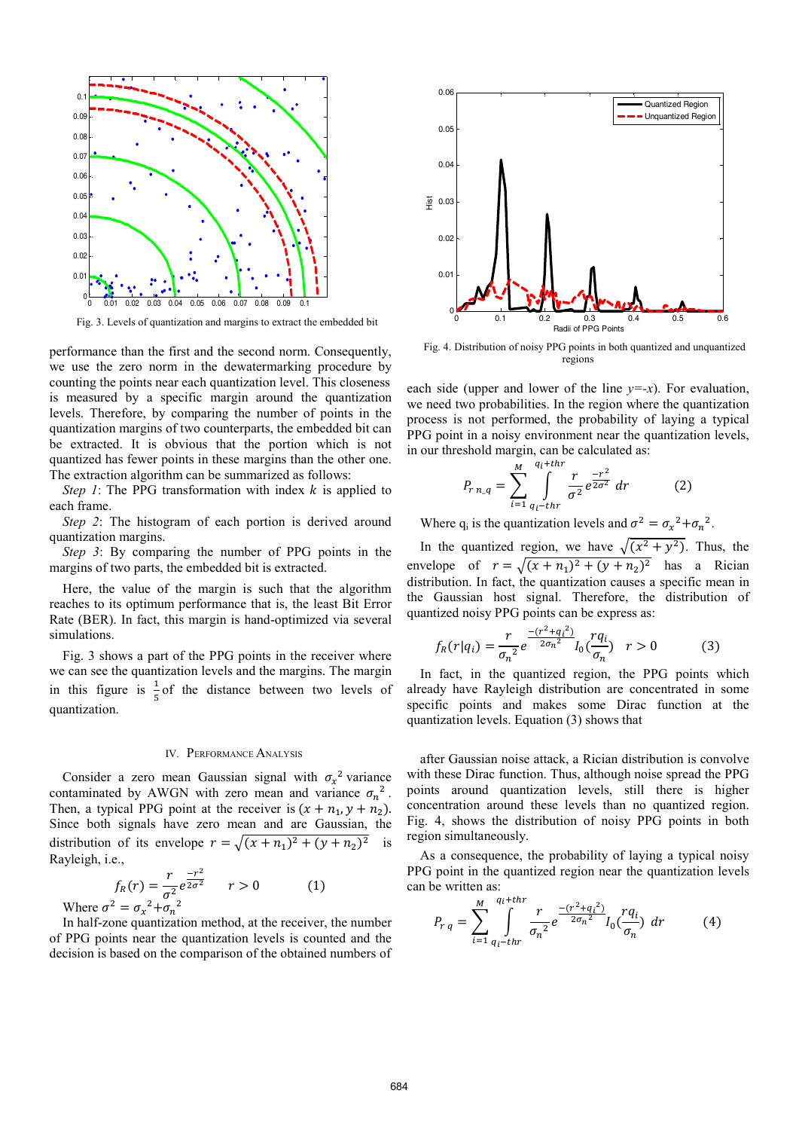

Fig. 3. Levels of quantization and margins to extract the embedded bit

performance than the first and the second norm. Consequently, we use the zero norm in the dewatermarking procedure by counting the points near each quantization level. This closeness is measured by a specific margin around the quantization levels. Therefore, by comparing the number of points in the quantization margins of two counterparts, the embedded bit can be extracted. It is obvious that the portion which is not quantized has fewer points in these margins than the other one. The extraction algorithm can be summarized as follows:

*Step 1*: The PPG transformation with index  $k$  is applied to each frame.

*Step 2*: The histogram of each portion is derived around quantization margins.

*Step 3*: By comparing the number of PPG points in the margins of two parts, the embedded bit is extracted.

Here, the value of the margin is such that the algorithm reaches to its optimum performance that is, the least Bit Error Rate (BER). In fact, this margin is hand-optimized via several simulations.

Fig. 3 shows a part of the PPG points in the receiver where we can see the quantization levels and the margins. The margin in this figure is  $\frac{1}{5}$  of the distance between two levels of quantization.

#### IV. PERFORMANCE ANALYSIS

Consider a zero mean Gaussian signal with  $\sigma_x^2$  variance contaminated by AWGN with zero mean and variance  $\sigma_n^2$ . Then, a typical PPG point at the receiver is  $(x + n_1, y + n_2)$ . Since both signals have zero mean and are Gaussian, the distribution of its envelope  $r = \sqrt{(x + n_1)^2 + (y + n_2)^2}$  is Rayleigh, i.e.,

$$
f_R(r) = \frac{r}{\sigma^2} e^{\frac{-r^2}{2\sigma^2}} \qquad r > 0 \tag{1}
$$

Where  $\sigma^2 = \sigma_x^2 + \sigma_n^2$ 

In half-zone quantization method, at the receiver, the number of PPG points near the quantization levels is counted and the decision is based on the comparison of the obtained numbers of



Fig. 4. Distribution of noisy PPG points in both quantized and unquantized regions

each side (upper and lower of the line  $y=x$ ). For evaluation, we need two probabilities. In the region where the quantization process is not performed, the probability of laying a typical PPG point in a noisy environment near the quantization levels, in our threshold margin, can be calculated as:

$$
P_{r n_q} = \sum_{i=1}^{M} \int_{q_i - thr}^{q_i + thr} \frac{r}{\sigma^2} e^{\frac{-r^2}{2\sigma^2}} dr \tag{2}
$$

Where  $q_i$  is the quantization levels and  $\sigma^2 = \sigma_x^2 + \sigma_n^2$ .

In the quantized region, we have  $\sqrt{(x^2 + y^2)}$ . Thus, the envelope of  $r = \sqrt{(x + n_1)^2 + (y + n_2)^2}$  has a Rician distribution. In fact, the quantization causes a specific mean in the Gaussian host signal. Therefore, the distribution of quantized noisy PPG points can be express as:

$$
f_R(r|q_i) = \frac{r}{\sigma_n^2} e^{\frac{-(r^2 + q_i^2)}{2\sigma_n^2}} I_0(\frac{rq_i}{\sigma_n}) \quad r > 0 \tag{3}
$$

In fact, in the quantized region, the PPG points which already have Rayleigh distribution are concentrated in some specific points and makes some Dirac function at the quantization levels. Equation (3) shows that

after Gaussian noise attack, a Rician distribution is convolve with these Dirac function. Thus, although noise spread the PPG points around quantization levels, still there is higher concentration around these levels than no quantized region. Fig. 4, shows the distribution of noisy PPG points in both region simultaneously.

As a consequence, the probability of laying a typical noisy PPG point in the quantized region near the quantization levels can be written as:

$$
P_{rq} = \sum_{i=1}^{M} \int_{q_i - thr}^{q_i + thr} \frac{r}{\sigma_n^2} e^{\frac{-(r^2 + q_i^2)}{2\sigma_n^2}} I_0(\frac{rq_i}{\sigma_n}) dr \tag{4}
$$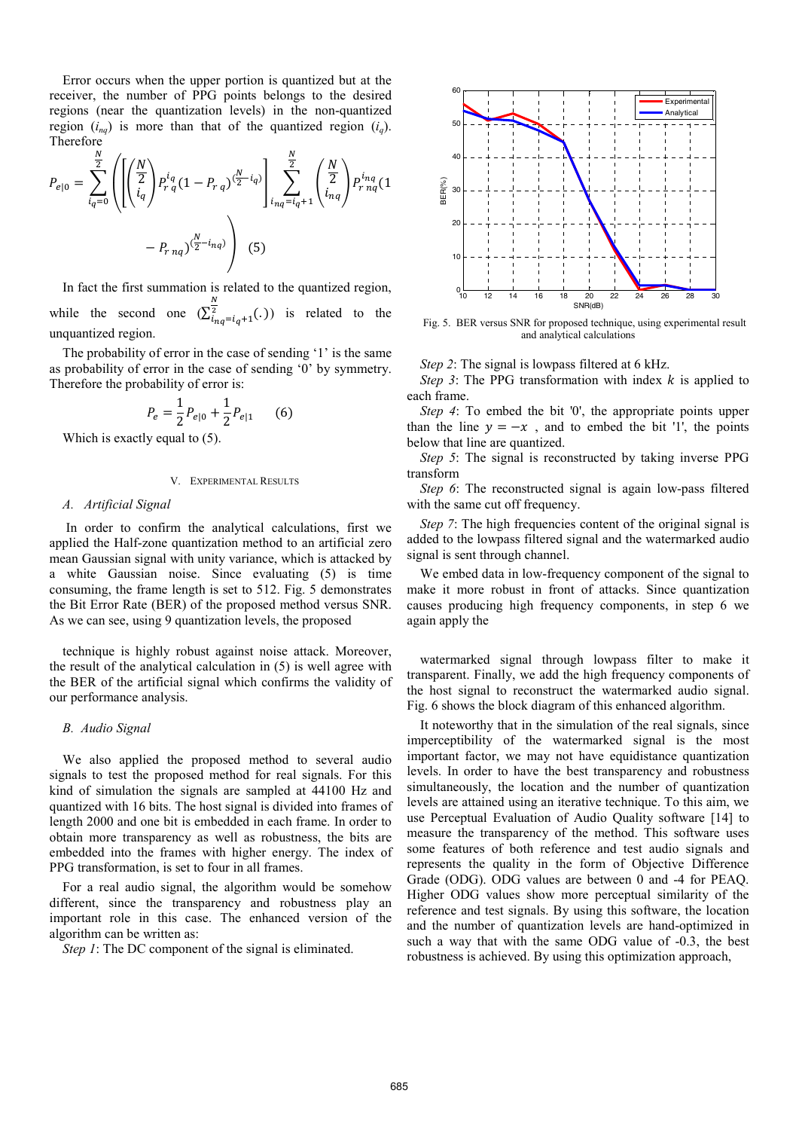Error occurs when the upper portion is quantized but at the receiver, the number of PPG points belongs to the desired regions (near the quantization levels) in the non-quantized region  $(i_{nq})$  is more than that of the quantized region  $(i_q)$ . Therefore

$$
P_{e|0} = \sum_{i_q=0}^{\frac{N}{2}} \left( \left[ \left( \frac{N}{2} \right) P_{r_q}^{i_q} (1 - P_{r_q}) \frac{N}{2} - i_q \right] \sum_{i_{n_q} = i_q+1}^{\frac{N}{2}} \left( \frac{N}{2} \right) P_{r_{n_q}}^{i_{n_q}} (1 - P_{r_{n_q}}) \right) - P_{r_{n_q}} \left( \frac{N}{2} - i_{n_q} \right) \right)
$$
(5)

In fact the first summation is related to the quantized region, while the second one  $(\sum_{i_{nq}=i_{q}+1}^{N}(.))$  is related to the unquantized region.

The probability of error in the case of sending '1' is the same as probability of error in the case of sending '0' by symmetry. Therefore the probability of error is:

$$
P_e = \frac{1}{2} P_{e|0} + \frac{1}{2} P_{e|1} \qquad (6)
$$

Which is exactly equal to  $(5)$ .

# V. EXPERIMENTAL RESULTS

#### *A. Artificial Signal*

 In order to confirm the analytical calculations, first we applied the Half-zone quantization method to an artificial zero mean Gaussian signal with unity variance, which is attacked by a white Gaussian noise. Since evaluating (5) is time consuming, the frame length is set to 512. Fig. 5 demonstrates the Bit Error Rate (BER) of the proposed method versus SNR. As we can see, using 9 quantization levels, the proposed

technique is highly robust against noise attack. Moreover, the result of the analytical calculation in (5) is well agree with the BER of the artificial signal which confirms the validity of our performance analysis.

# *B. Audio Signal*

We also applied the proposed method to several audio signals to test the proposed method for real signals. For this kind of simulation the signals are sampled at 44100 Hz and quantized with 16 bits. The host signal is divided into frames of length 2000 and one bit is embedded in each frame. In order to obtain more transparency as well as robustness, the bits are embedded into the frames with higher energy. The index of PPG transformation, is set to four in all frames.

For a real audio signal, the algorithm would be somehow different, since the transparency and robustness play an important role in this case. The enhanced version of the algorithm can be written as:

*Step 1*: The DC component of the signal is eliminated.



Fig. 5. BER versus SNR for proposed technique, using experimental result and analytical calculations

*Step 2*: The signal is lowpass filtered at 6 kHz.

*Step 3*: The PPG transformation with index  $k$  is applied to each frame.

*Step 4*: To embed the bit '0', the appropriate points upper than the line  $y = -x$ , and to embed the bit '1', the points below that line are quantized.

*Step 5*: The signal is reconstructed by taking inverse PPG transform

*Step 6*: The reconstructed signal is again low-pass filtered with the same cut off frequency.

*Step 7*: The high frequencies content of the original signal is added to the lowpass filtered signal and the watermarked audio signal is sent through channel.

We embed data in low-frequency component of the signal to make it more robust in front of attacks. Since quantization causes producing high frequency components, in step 6 we again apply the

watermarked signal through lowpass filter to make it transparent. Finally, we add the high frequency components of the host signal to reconstruct the watermarked audio signal. Fig. 6 shows the block diagram of this enhanced algorithm.

It noteworthy that in the simulation of the real signals, since imperceptibility of the watermarked signal is the most important factor, we may not have equidistance quantization levels. In order to have the best transparency and robustness simultaneously, the location and the number of quantization levels are attained using an iterative technique. To this aim, we use Perceptual Evaluation of Audio Quality software [14] to measure the transparency of the method. This software uses some features of both reference and test audio signals and represents the quality in the form of Objective Difference Grade (ODG). ODG values are between 0 and -4 for PEAQ. Higher ODG values show more perceptual similarity of the reference and test signals. By using this software, the location and the number of quantization levels are hand-optimized in such a way that with the same ODG value of -0.3, the best robustness is achieved. By using this optimization approach,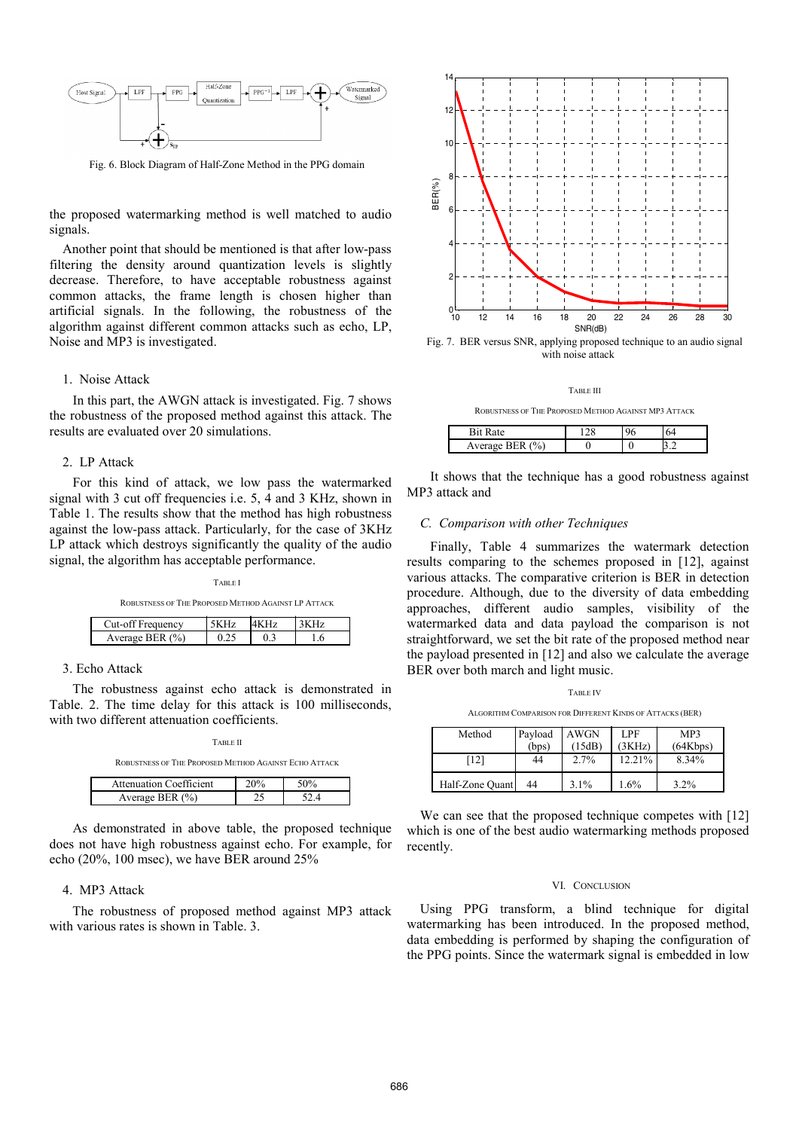

Fig. 6. Block Diagram of Half-Zone Method in the PPG domain

the proposed watermarking method is well matched to audio signals.

Another point that should be mentioned is that after low-pass filtering the density around quantization levels is slightly decrease. Therefore, to have acceptable robustness against common attacks, the frame length is chosen higher than artificial signals. In the following, the robustness of the algorithm against different common attacks such as echo, LP, Noise and MP3 is investigated.

# 1. Noise Attack

 In this part, the AWGN attack is investigated. Fig. 7 shows the robustness of the proposed method against this attack. The results are evaluated over 20 simulations.

# 2. LP Attack

 For this kind of attack, we low pass the watermarked signal with 3 cut off frequencies i.e. 5, 4 and 3 KHz, shown in Table 1. The results show that the method has high robustness against the low-pass attack. Particularly, for the case of 3KHz LP attack which destroys significantly the quality of the audio signal, the algorithm has acceptable performance.

TABLE I

ROBUSTNESS OF THE PROPOSED METHOD AGAINST LP ATTACK

| requency            |  |  |
|---------------------|--|--|
| Average BER $(\% )$ |  |  |

# 3. Echo Attack

 The robustness against echo attack is demonstrated in Table. 2. The time delay for this attack is 100 milliseconds, with two different attenuation coefficients.

ROBUSTNESS OF THE PROPOSED METHOD AGAINST ECHO ATTACK

| Attenuation Coefficient |  |
|-------------------------|--|
| Average BER $(9/2)$     |  |

 As demonstrated in above table, the proposed technique does not have high robustness against echo. For example, for echo (20%, 100 msec), we have BER around 25%

# 4. MP3 Attack

 The robustness of proposed method against MP3 attack with various rates is shown in Table. 3.



Fig. 7. BER versus SNR, applying proposed technique to an audio signal with noise attack

TABLE III

ROBUSTNESS OF THE PROPOSED METHOD AGAINST MP3 ATTACK

| $\mathbf{r}$<br>₹ı.<br>tρ |  |  |
|---------------------------|--|--|
| VPTQQ<br>* UZ.            |  |  |

 It shows that the technique has a good robustness against MP3 attack and

### *C. Comparison with other Techniques*

 Finally, Table 4 summarizes the watermark detection results comparing to the schemes proposed in [12], against various attacks. The comparative criterion is BER in detection procedure. Although, due to the diversity of data embedding approaches, different audio samples, visibility of the watermarked data and data payload the comparison is not straightforward, we set the bit rate of the proposed method near the payload presented in [12] and also we calculate the average BER over both march and light music.

TABLE IV ALGORITHM COMPARISON FOR DIFFERENT KINDS OF ATTACKS (BER)

| Method          | Payload | <b>AWGN</b> | <b>LPF</b> | MP3      |
|-----------------|---------|-------------|------------|----------|
|                 | (bps)   | (15dB)      | (3KHz)     | (64Kbps) |
| [12]            | 44      | 2.7%        | 12.21%     | 8.34%    |
| Half-Zone Quant | 44      | $3.1\%$     | $1.6\%$    | $3.2\%$  |

We can see that the proposed technique competes with [12] which is one of the best audio watermarking methods proposed recently.

#### VI. CONCLUSION

Using PPG transform, a blind technique for digital watermarking has been introduced. In the proposed method, data embedding is performed by shaping the configuration of the PPG points. Since the watermark signal is embedded in low